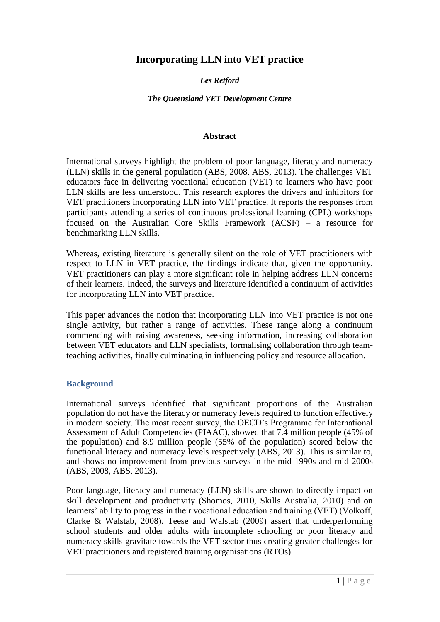# **Incorporating LLN into VET practice**

### *Les Retford*

#### *The Queensland VET Development Centre*

#### **Abstract**

International surveys highlight the problem of poor language, literacy and numeracy (LLN) skills in the general population (ABS, 2008, ABS, 2013). The challenges VET educators face in delivering vocational education (VET) to learners who have poor LLN skills are less understood. This research explores the drivers and inhibitors for VET practitioners incorporating LLN into VET practice. It reports the responses from participants attending a series of continuous professional learning (CPL) workshops focused on the Australian Core Skills Framework (ACSF) – a resource for benchmarking LLN skills.

Whereas, existing literature is generally silent on the role of VET practitioners with respect to LLN in VET practice, the findings indicate that, given the opportunity, VET practitioners can play a more significant role in helping address LLN concerns of their learners. Indeed, the surveys and literature identified a continuum of activities for incorporating LLN into VET practice.

This paper advances the notion that incorporating LLN into VET practice is not one single activity, but rather a range of activities. These range along a continuum commencing with raising awareness, seeking information, increasing collaboration between VET educators and LLN specialists, formalising collaboration through teamteaching activities, finally culminating in influencing policy and resource allocation.

#### **Background**

International surveys identified that significant proportions of the Australian population do not have the literacy or numeracy levels required to function effectively in modern society. The most recent survey, the OECD's Programme for International Assessment of Adult Competencies (PIAAC), showed that 7.4 million people (45% of the population) and 8.9 million people (55% of the population) scored below the functional literacy and numeracy levels respectively (ABS, 2013). This is similar to, and shows no improvement from previous surveys in the mid-1990s and mid-2000s (ABS, 2008, ABS, 2013).

Poor language, literacy and numeracy (LLN) skills are shown to directly impact on skill development and productivity (Shomos, 2010, Skills Australia, 2010) and on learners' ability to progress in their vocational education and training (VET) (Volkoff, Clarke & Walstab, 2008). Teese and Walstab (2009) assert that underperforming school students and older adults with incomplete schooling or poor literacy and numeracy skills gravitate towards the VET sector thus creating greater challenges for VET practitioners and registered training organisations (RTOs).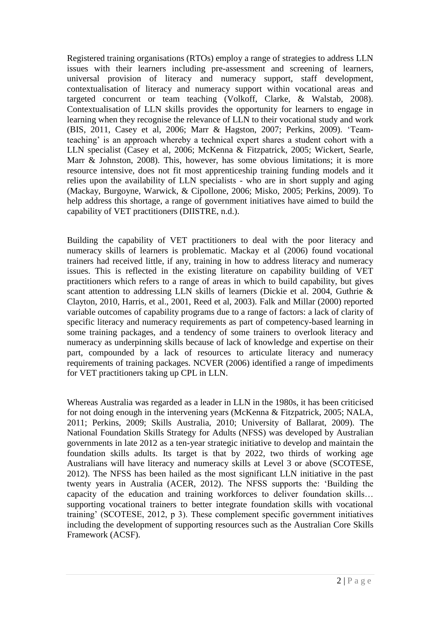Registered training organisations (RTOs) employ a range of strategies to address LLN issues with their learners including pre-assessment and screening of learners, universal provision of literacy and numeracy support, staff development, contextualisation of literacy and numeracy support within vocational areas and targeted concurrent or team teaching (Volkoff, Clarke, & Walstab, 2008). Contextualisation of LLN skills provides the opportunity for learners to engage in learning when they recognise the relevance of LLN to their vocational study and work (BIS, 2011, Casey et al, 2006; Marr & Hagston, 2007; Perkins, 2009). 'Teamteaching' is an approach whereby a technical expert shares a student cohort with a LLN specialist (Casey et al, 2006; McKenna & Fitzpatrick, 2005; Wickert, Searle, Marr & Johnston, 2008). This, however, has some obvious limitations; it is more resource intensive, does not fit most apprenticeship training funding models and it relies upon the availability of LLN specialists - who are in short supply and aging (Mackay, Burgoyne, Warwick, & Cipollone, 2006; Misko, 2005; Perkins, 2009). To help address this shortage, a range of government initiatives have aimed to build the capability of VET practitioners (DIISTRE, n.d.).

Building the capability of VET practitioners to deal with the poor literacy and numeracy skills of learners is problematic. Mackay et al (2006) found vocational trainers had received little, if any, training in how to address literacy and numeracy issues. This is reflected in the existing literature on capability building of VET practitioners which refers to a range of areas in which to build capability, but gives scant attention to addressing LLN skills of learners (Dickie et al. 2004, Guthrie & Clayton, 2010, Harris, et al., 2001, Reed et al, 2003). Falk and Millar (2000) reported variable outcomes of capability programs due to a range of factors: a lack of clarity of specific literacy and numeracy requirements as part of competency-based learning in some training packages, and a tendency of some trainers to overlook literacy and numeracy as underpinning skills because of lack of knowledge and expertise on their part, compounded by a lack of resources to articulate literacy and numeracy requirements of training packages. NCVER (2006) identified a range of impediments for VET practitioners taking up CPL in LLN.

Whereas Australia was regarded as a leader in LLN in the 1980s, it has been criticised for not doing enough in the intervening years (McKenna & Fitzpatrick, 2005; NALA, 2011; Perkins, 2009; Skills Australia, 2010; University of Ballarat, 2009). The National Foundation Skills Strategy for Adults (NFSS) was developed by Australian governments in late 2012 as a ten-year strategic initiative to develop and maintain the foundation skills adults. Its target is that by 2022, two thirds of working age Australians will have literacy and numeracy skills at Level 3 or above (SCOTESE, 2012). The NFSS has been hailed as the most significant LLN initiative in the past twenty years in Australia (ACER, 2012). The NFSS supports the: 'Building the capacity of the education and training workforces to deliver foundation skills… supporting vocational trainers to better integrate foundation skills with vocational training' (SCOTESE, 2012, p 3). These complement specific government initiatives including the development of supporting resources such as the Australian Core Skills Framework (ACSF).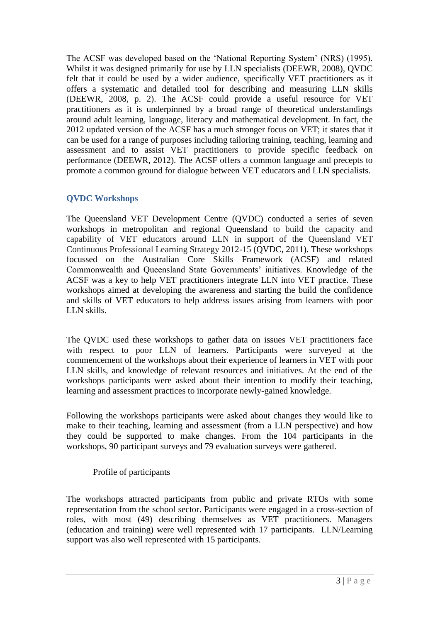The ACSF was developed based on the 'National Reporting System' (NRS) (1995). Whilst it was designed primarily for use by LLN specialists (DEEWR, 2008), QVDC felt that it could be used by a wider audience, specifically VET practitioners as it offers a systematic and detailed tool for describing and measuring LLN skills (DEEWR, 2008, p. 2). The ACSF could provide a useful resource for VET practitioners as it is underpinned by a broad range of theoretical understandings around adult learning, language, literacy and mathematical development. In fact, the 2012 updated version of the ACSF has a much stronger focus on VET; it states that it can be used for a range of purposes including tailoring training, teaching, learning and assessment and to assist VET practitioners to provide specific feedback on performance (DEEWR, 2012). The ACSF offers a common language and precepts to promote a common ground for dialogue between VET educators and LLN specialists.

### **QVDC Workshops**

The Queensland VET Development Centre (QVDC) conducted a series of seven workshops in metropolitan and regional Queensland to build the capacity and capability of VET educators around LLN in support of the Queensland VET Continuous Professional Learning Strategy 2012-15 (QVDC, 2011). These workshops focussed on the Australian Core Skills Framework (ACSF) and related Commonwealth and Queensland State Governments' initiatives. Knowledge of the ACSF was a key to help VET practitioners integrate LLN into VET practice. These workshops aimed at developing the awareness and starting the build the confidence and skills of VET educators to help address issues arising from learners with poor LLN skills.

The QVDC used these workshops to gather data on issues VET practitioners face with respect to poor LLN of learners. Participants were surveyed at the commencement of the workshops about their experience of learners in VET with poor LLN skills, and knowledge of relevant resources and initiatives. At the end of the workshops participants were asked about their intention to modify their teaching, learning and assessment practices to incorporate newly-gained knowledge.

Following the workshops participants were asked about changes they would like to make to their teaching, learning and assessment (from a LLN perspective) and how they could be supported to make changes. From the 104 participants in the workshops, 90 participant surveys and 79 evaluation surveys were gathered.

#### Profile of participants

The workshops attracted participants from public and private RTOs with some representation from the school sector. Participants were engaged in a cross-section of roles, with most (49) describing themselves as VET practitioners. Managers (education and training) were well represented with 17 participants. LLN/Learning support was also well represented with 15 participants.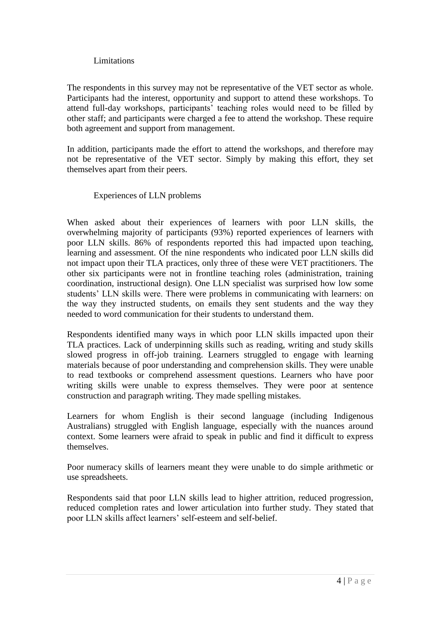#### **Limitations**

The respondents in this survey may not be representative of the VET sector as whole. Participants had the interest, opportunity and support to attend these workshops. To attend full-day workshops, participants' teaching roles would need to be filled by other staff; and participants were charged a fee to attend the workshop. These require both agreement and support from management.

In addition, participants made the effort to attend the workshops, and therefore may not be representative of the VET sector. Simply by making this effort, they set themselves apart from their peers.

### Experiences of LLN problems

When asked about their experiences of learners with poor LLN skills, the overwhelming majority of participants (93%) reported experiences of learners with poor LLN skills. 86% of respondents reported this had impacted upon teaching, learning and assessment. Of the nine respondents who indicated poor LLN skills did not impact upon their TLA practices, only three of these were VET practitioners. The other six participants were not in frontline teaching roles (administration, training coordination, instructional design). One LLN specialist was surprised how low some students' LLN skills were. There were problems in communicating with learners: on the way they instructed students, on emails they sent students and the way they needed to word communication for their students to understand them.

Respondents identified many ways in which poor LLN skills impacted upon their TLA practices. Lack of underpinning skills such as reading, writing and study skills slowed progress in off-job training. Learners struggled to engage with learning materials because of poor understanding and comprehension skills. They were unable to read textbooks or comprehend assessment questions. Learners who have poor writing skills were unable to express themselves. They were poor at sentence construction and paragraph writing. They made spelling mistakes.

Learners for whom English is their second language (including Indigenous Australians) struggled with English language, especially with the nuances around context. Some learners were afraid to speak in public and find it difficult to express themselves.

Poor numeracy skills of learners meant they were unable to do simple arithmetic or use spreadsheets.

Respondents said that poor LLN skills lead to higher attrition, reduced progression, reduced completion rates and lower articulation into further study. They stated that poor LLN skills affect learners' self-esteem and self-belief.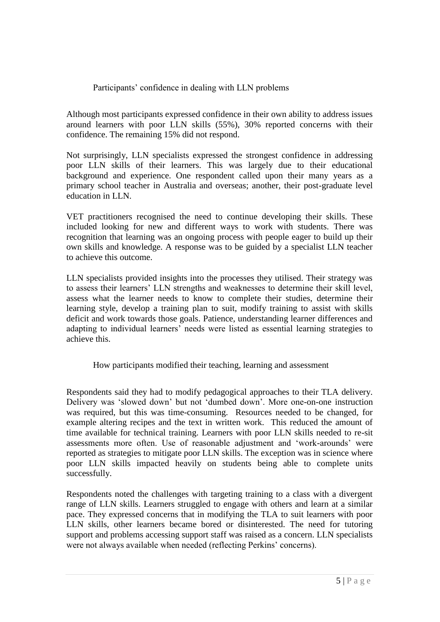### Participants' confidence in dealing with LLN problems

Although most participants expressed confidence in their own ability to address issues around learners with poor LLN skills (55%), 30% reported concerns with their confidence. The remaining 15% did not respond.

Not surprisingly, LLN specialists expressed the strongest confidence in addressing poor LLN skills of their learners. This was largely due to their educational background and experience. One respondent called upon their many years as a primary school teacher in Australia and overseas; another, their post-graduate level education in LLN.

VET practitioners recognised the need to continue developing their skills. These included looking for new and different ways to work with students. There was recognition that learning was an ongoing process with people eager to build up their own skills and knowledge. A response was to be guided by a specialist LLN teacher to achieve this outcome.

LLN specialists provided insights into the processes they utilised. Their strategy was to assess their learners' LLN strengths and weaknesses to determine their skill level, assess what the learner needs to know to complete their studies, determine their learning style, develop a training plan to suit, modify training to assist with skills deficit and work towards those goals. Patience, understanding learner differences and adapting to individual learners' needs were listed as essential learning strategies to achieve this.

How participants modified their teaching, learning and assessment

Respondents said they had to modify pedagogical approaches to their TLA delivery. Delivery was 'slowed down' but not 'dumbed down'. More one-on-one instruction was required, but this was time-consuming. Resources needed to be changed, for example altering recipes and the text in written work. This reduced the amount of time available for technical training. Learners with poor LLN skills needed to re-sit assessments more often. Use of reasonable adjustment and 'work-arounds' were reported as strategies to mitigate poor LLN skills. The exception was in science where poor LLN skills impacted heavily on students being able to complete units successfully.

Respondents noted the challenges with targeting training to a class with a divergent range of LLN skills. Learners struggled to engage with others and learn at a similar pace. They expressed concerns that in modifying the TLA to suit learners with poor LLN skills, other learners became bored or disinterested. The need for tutoring support and problems accessing support staff was raised as a concern. LLN specialists were not always available when needed (reflecting Perkins' concerns).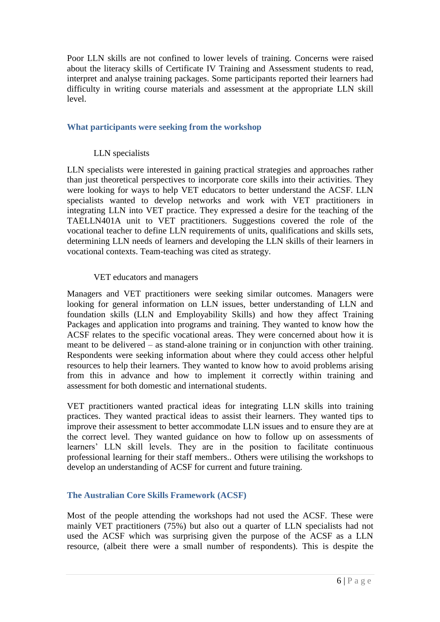Poor LLN skills are not confined to lower levels of training. Concerns were raised about the literacy skills of Certificate IV Training and Assessment students to read, interpret and analyse training packages. Some participants reported their learners had difficulty in writing course materials and assessment at the appropriate LLN skill level.

### **What participants were seeking from the workshop**

### LLN specialists

LLN specialists were interested in gaining practical strategies and approaches rather than just theoretical perspectives to incorporate core skills into their activities. They were looking for ways to help VET educators to better understand the ACSF. LLN specialists wanted to develop networks and work with VET practitioners in integrating LLN into VET practice. They expressed a desire for the teaching of the TAELLN401A unit to VET practitioners. Suggestions covered the role of the vocational teacher to define LLN requirements of units, qualifications and skills sets, determining LLN needs of learners and developing the LLN skills of their learners in vocational contexts. Team-teaching was cited as strategy.

#### VET educators and managers

Managers and VET practitioners were seeking similar outcomes. Managers were looking for general information on LLN issues, better understanding of LLN and foundation skills (LLN and Employability Skills) and how they affect Training Packages and application into programs and training. They wanted to know how the ACSF relates to the specific vocational areas. They were concerned about how it is meant to be delivered – as stand-alone training or in conjunction with other training. Respondents were seeking information about where they could access other helpful resources to help their learners. They wanted to know how to avoid problems arising from this in advance and how to implement it correctly within training and assessment for both domestic and international students.

VET practitioners wanted practical ideas for integrating LLN skills into training practices. They wanted practical ideas to assist their learners. They wanted tips to improve their assessment to better accommodate LLN issues and to ensure they are at the correct level. They wanted guidance on how to follow up on assessments of learners' LLN skill levels. They are in the position to facilitate continuous professional learning for their staff members.. Others were utilising the workshops to develop an understanding of ACSF for current and future training.

## **The Australian Core Skills Framework (ACSF)**

Most of the people attending the workshops had not used the ACSF. These were mainly VET practitioners (75%) but also out a quarter of LLN specialists had not used the ACSF which was surprising given the purpose of the ACSF as a LLN resource, (albeit there were a small number of respondents). This is despite the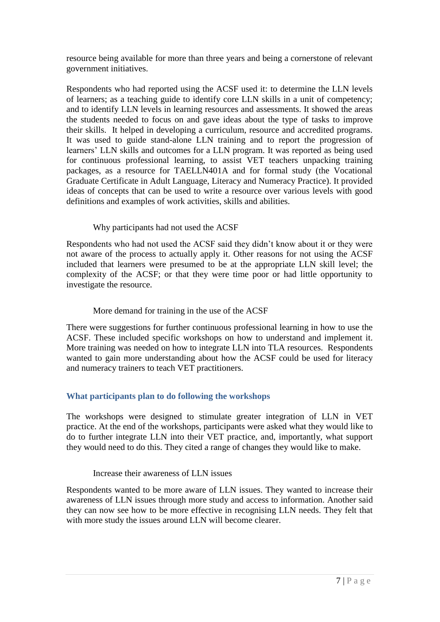resource being available for more than three years and being a cornerstone of relevant government initiatives.

Respondents who had reported using the ACSF used it: to determine the LLN levels of learners; as a teaching guide to identify core LLN skills in a unit of competency; and to identify LLN levels in learning resources and assessments. It showed the areas the students needed to focus on and gave ideas about the type of tasks to improve their skills. It helped in developing a curriculum, resource and accredited programs. It was used to guide stand-alone LLN training and to report the progression of learners' LLN skills and outcomes for a LLN program. It was reported as being used for continuous professional learning, to assist VET teachers unpacking training packages, as a resource for TAELLN401A and for formal study (the Vocational Graduate Certificate in Adult Language, Literacy and Numeracy Practice). It provided ideas of concepts that can be used to write a resource over various levels with good definitions and examples of work activities, skills and abilities.

## Why participants had not used the ACSF

Respondents who had not used the ACSF said they didn't know about it or they were not aware of the process to actually apply it. Other reasons for not using the ACSF included that learners were presumed to be at the appropriate LLN skill level; the complexity of the ACSF; or that they were time poor or had little opportunity to investigate the resource.

#### More demand for training in the use of the ACSF

There were suggestions for further continuous professional learning in how to use the ACSF. These included specific workshops on how to understand and implement it. More training was needed on how to integrate LLN into TLA resources. Respondents wanted to gain more understanding about how the ACSF could be used for literacy and numeracy trainers to teach VET practitioners.

## **What participants plan to do following the workshops**

The workshops were designed to stimulate greater integration of LLN in VET practice. At the end of the workshops, participants were asked what they would like to do to further integrate LLN into their VET practice, and, importantly, what support they would need to do this. They cited a range of changes they would like to make.

#### Increase their awareness of LLN issues

Respondents wanted to be more aware of LLN issues. They wanted to increase their awareness of LLN issues through more study and access to information. Another said they can now see how to be more effective in recognising LLN needs. They felt that with more study the issues around LLN will become clearer.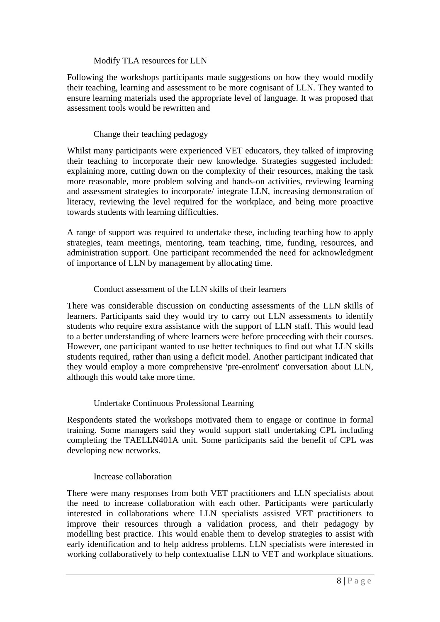### Modify TLA resources for LLN

Following the workshops participants made suggestions on how they would modify their teaching, learning and assessment to be more cognisant of LLN. They wanted to ensure learning materials used the appropriate level of language. It was proposed that assessment tools would be rewritten and

### Change their teaching pedagogy

Whilst many participants were experienced VET educators, they talked of improving their teaching to incorporate their new knowledge. Strategies suggested included: explaining more, cutting down on the complexity of their resources, making the task more reasonable, more problem solving and hands-on activities, reviewing learning and assessment strategies to incorporate/ integrate LLN, increasing demonstration of literacy, reviewing the level required for the workplace, and being more proactive towards students with learning difficulties.

A range of support was required to undertake these, including teaching how to apply strategies, team meetings, mentoring, team teaching, time, funding, resources, and administration support. One participant recommended the need for acknowledgment of importance of LLN by management by allocating time.

### Conduct assessment of the LLN skills of their learners

There was considerable discussion on conducting assessments of the LLN skills of learners. Participants said they would try to carry out LLN assessments to identify students who require extra assistance with the support of LLN staff. This would lead to a better understanding of where learners were before proceeding with their courses. However, one participant wanted to use better techniques to find out what LLN skills students required, rather than using a deficit model. Another participant indicated that they would employ a more comprehensive 'pre-enrolment' conversation about LLN, although this would take more time.

#### Undertake Continuous Professional Learning

Respondents stated the workshops motivated them to engage or continue in formal training. Some managers said they would support staff undertaking CPL including completing the TAELLN401A unit. Some participants said the benefit of CPL was developing new networks.

#### Increase collaboration

There were many responses from both VET practitioners and LLN specialists about the need to increase collaboration with each other. Participants were particularly interested in collaborations where LLN specialists assisted VET practitioners to improve their resources through a validation process, and their pedagogy by modelling best practice. This would enable them to develop strategies to assist with early identification and to help address problems. LLN specialists were interested in working collaboratively to help contextualise LLN to VET and workplace situations.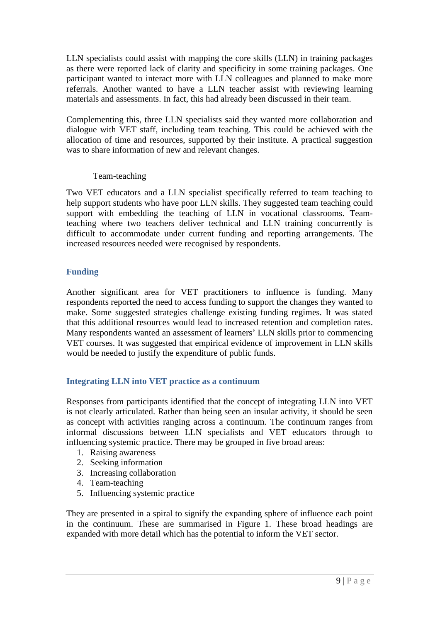LLN specialists could assist with mapping the core skills (LLN) in training packages as there were reported lack of clarity and specificity in some training packages. One participant wanted to interact more with LLN colleagues and planned to make more referrals. Another wanted to have a LLN teacher assist with reviewing learning materials and assessments. In fact, this had already been discussed in their team.

Complementing this, three LLN specialists said they wanted more collaboration and dialogue with VET staff, including team teaching. This could be achieved with the allocation of time and resources, supported by their institute. A practical suggestion was to share information of new and relevant changes.

#### Team-teaching

Two VET educators and a LLN specialist specifically referred to team teaching to help support students who have poor LLN skills. They suggested team teaching could support with embedding the teaching of LLN in vocational classrooms. Teamteaching where two teachers deliver technical and LLN training concurrently is difficult to accommodate under current funding and reporting arrangements. The increased resources needed were recognised by respondents.

## **Funding**

Another significant area for VET practitioners to influence is funding. Many respondents reported the need to access funding to support the changes they wanted to make. Some suggested strategies challenge existing funding regimes. It was stated that this additional resources would lead to increased retention and completion rates. Many respondents wanted an assessment of learners' LLN skills prior to commencing VET courses. It was suggested that empirical evidence of improvement in LLN skills would be needed to justify the expenditure of public funds.

## **Integrating LLN into VET practice as a continuum**

Responses from participants identified that the concept of integrating LLN into VET is not clearly articulated. Rather than being seen an insular activity, it should be seen as concept with activities ranging across a continuum. The continuum ranges from informal discussions between LLN specialists and VET educators through to influencing systemic practice. There may be grouped in five broad areas:

- 1. Raising awareness
- 2. Seeking information
- 3. Increasing collaboration
- 4. Team-teaching
- 5. Influencing systemic practice

They are presented in a spiral to signify the expanding sphere of influence each point in the continuum. These are summarised in Figure 1. These broad headings are expanded with more detail which has the potential to inform the VET sector.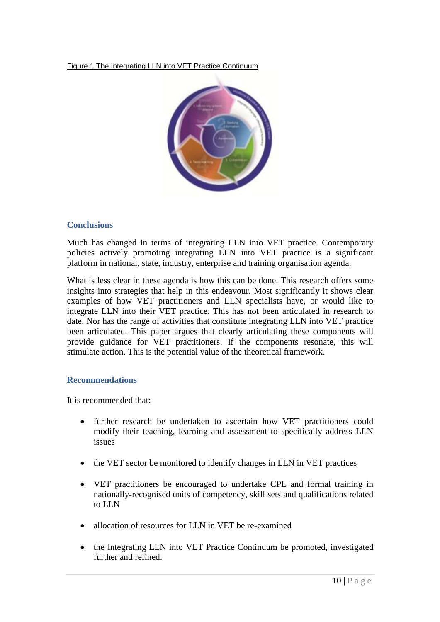#### Figure 1 The Integrating LLN into VET Practice Continuum



### **Conclusions**

Much has changed in terms of integrating LLN into VET practice. Contemporary policies actively promoting integrating LLN into VET practice is a significant platform in national, state, industry, enterprise and training organisation agenda.

What is less clear in these agenda is how this can be done. This research offers some insights into strategies that help in this endeavour. Most significantly it shows clear examples of how VET practitioners and LLN specialists have, or would like to integrate LLN into their VET practice. This has not been articulated in research to date. Nor has the range of activities that constitute integrating LLN into VET practice been articulated. This paper argues that clearly articulating these components will provide guidance for VET practitioners. If the components resonate, this will stimulate action. This is the potential value of the theoretical framework.

#### **Recommendations**

It is recommended that:

- further research be undertaken to ascertain how VET practitioners could modify their teaching, learning and assessment to specifically address LLN issues
- the VET sector be monitored to identify changes in LLN in VET practices
- VET practitioners be encouraged to undertake CPL and formal training in nationally-recognised units of competency, skill sets and qualifications related to LLN
- allocation of resources for LLN in VET be re-examined
- the Integrating LLN into VET Practice Continuum be promoted, investigated further and refined.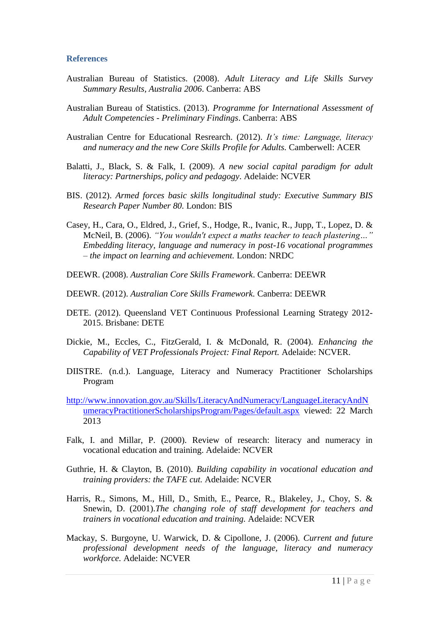#### **References**

- Australian Bureau of Statistics. (2008). *Adult Literacy and Life Skills Survey Summary Results, Australia 2006*. Canberra: ABS
- Australian Bureau of Statistics. (2013). *Programme for International Assessment of Adult Competencies - Preliminary Findings*. Canberra: ABS
- Australian Centre for Educational Resrearch. (2012). *It's time: Language, literacy and numeracy and the new Core Skills Profile for Adults.* Camberwell: ACER
- Balatti, J., Black, S. & Falk, I. (2009). *A new social capital paradigm for adult literacy: Partnerships, policy and pedagogy*. Adelaide: NCVER
- BIS. (2012). *Armed forces basic skills longitudinal study: Executive Summary BIS Research Paper Number 80.* London: BIS
- Casey, H., Cara, O., Eldred, J., Grief, S., Hodge, R., Ivanic, R., Jupp, T., Lopez, D. & McNeil, B. (2006). *"You wouldn't expect a maths teacher to teach plastering…" Embedding literacy, language and numeracy in post-16 vocational programmes – the impact on learning and achievement.* London: NRDC
- DEEWR. (2008). *Australian Core Skills Framework*. Canberra: DEEWR
- DEEWR. (2012). *Australian Core Skills Framework.* Canberra: DEEWR
- DETE. (2012). Queensland VET Continuous Professional Learning Strategy 2012- 2015. Brisbane: DETE
- Dickie, M., Eccles, C., FitzGerald, I. & McDonald, R. (2004). *Enhancing the Capability of VET Professionals Project: Final Report.* Adelaide: NCVER.
- DIISTRE. (n.d.). Language, Literacy and Numeracy Practitioner Scholarships Program
- [http://www.innovation.gov.au/Skills/LiteracyAndNumeracy/LanguageLiteracyAndN](http://www.innovation.gov.au/Skills/LiteracyAndNumeracy/LanguageLiteracyAndNumeracyPractitionerScholarshipsProgram/Pages/default.aspx) [umeracyPractitionerScholarshipsProgram/Pages/default.aspx](http://www.innovation.gov.au/Skills/LiteracyAndNumeracy/LanguageLiteracyAndNumeracyPractitionerScholarshipsProgram/Pages/default.aspx) viewed: 22 March 2013
- Falk, I. and Millar, P. (2000). Review of research: literacy and numeracy in vocational education and training. Adelaide: NCVER
- Guthrie, H. & Clayton, B. (2010). *Building capability in vocational education and training providers: the TAFE cut.* Adelaide: NCVER
- Harris, R., Simons, M., Hill, D., Smith, E., Pearce, R., Blakeley, J., Choy, S. & Snewin, D. (2001).*The changing role of staff development for teachers and trainers in vocational education and training.* Adelaide: NCVER
- Mackay, S. Burgoyne, U. Warwick, D. & Cipollone, J. (2006). *Current and future professional development needs of the language, literacy and numeracy workforce.* Adelaide: NCVER